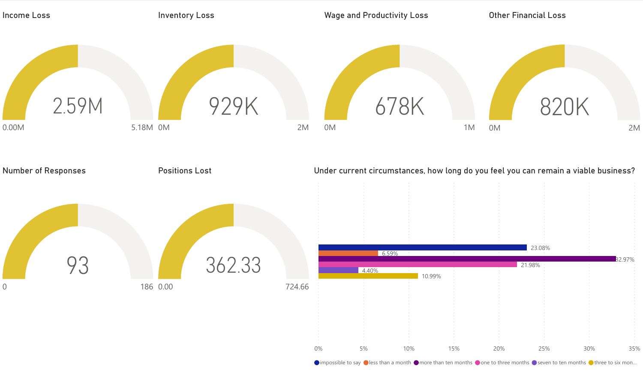

 $\bigcirc$  impossible to say  $\bigcirc$  less than a month  $\bigcirc$  more than ten months  $\bigcirc$  one to three months  $\bigcirc$  seven to ten months  $\bigcirc$  three to six mon...